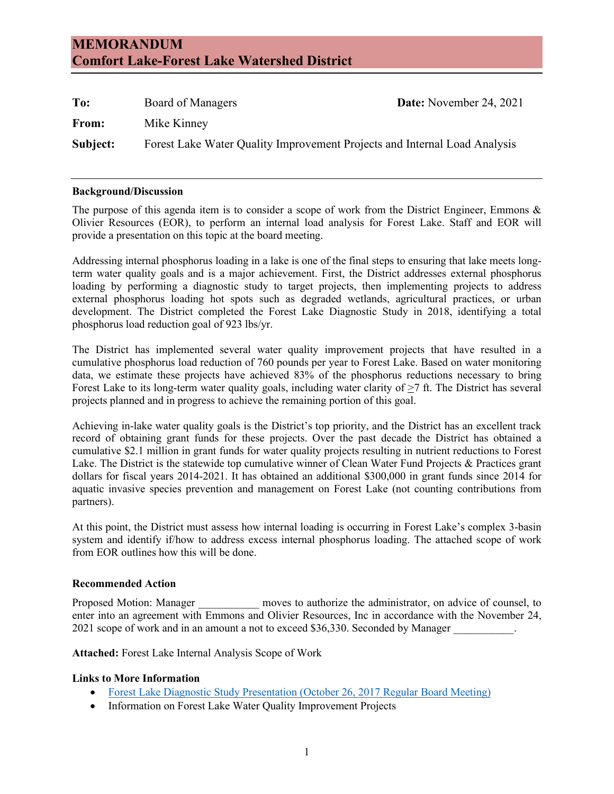# **MEMORANDUM Comfort Lake-Forest Lake Watershed District**

| To:      | Board of Managers                                                         | <b>Date:</b> November 24, 2021 |
|----------|---------------------------------------------------------------------------|--------------------------------|
| From:    | Mike Kinney                                                               |                                |
| Subject: | Forest Lake Water Quality Improvement Projects and Internal Load Analysis |                                |

#### **Background/Discussion**

The purpose of this agenda item is to consider a scope of work from the District Engineer, Emmons & Olivier Resources (EOR), to perform an internal load analysis for Forest Lake. Staff and EOR will provide a presentation on this topic at the board meeting.

Addressing internal phosphorus loading in a lake is one of the final steps to ensuring that lake meets longterm water quality goals and is a major achievement. First, the District addresses external phosphorus loading by performing a diagnostic study to target projects, then implementing projects to address external phosphorus loading hot spots such as degraded wetlands, agricultural practices, or urban development. The District completed the Forest Lake Diagnostic Study in 2018, identifying a total phosphorus load reduction goal of 923 lbs/yr.

The District has implemented several water quality improvement projects that have resulted in a cumulative phosphorus load reduction of 760 pounds per year to Forest Lake. Based on water monitoring data, we estimate these projects have achieved 83% of the phosphorus reductions necessary to bring Forest Lake to its long-term water quality goals, including water clarity of >7 ft. The District has several projects planned and in progress to achieve the remaining portion of this goal.

Achieving in-lake water quality goals is the District's top priority, and the District has an excellent track record of obtaining grant funds for these projects. Over the past decade the District has obtained a cumulative \$2.1 million in grant funds for water quality projects resulting in nutrient reductions to Forest Lake. The District is the statewide top cumulative winner of Clean Water Fund Projects & Practices grant dollars for fiscal years 2014-2021. It has obtained an additional \$300,000 in grant funds since 2014 for aquatic invasive species prevention and management on Forest Lake (not counting contributions from partners).

At this point, the District must assess how internal loading is occurring in Forest Lake's complex 3-basin system and identify if/how to address excess internal phosphorus loading. The attached scope of work from EOR outlines how this will be done.

#### **Recommended Action**

Proposed Motion: Manager \_\_\_\_\_\_\_\_\_\_\_ moves to authorize the administrator, on advice of counsel, to enter into an agreement with Emmons and Olivier Resources, Inc in accordance with the November 24, 2021 scope of work and in an amount a not to exceed \$36,330. Seconded by Manager  $\blacksquare$ 

**Attached:** Forest Lake Internal Analysis Scope of Work

#### **Links to More Information**

- [Forest Lake Diagnostic Study Presentation \(October 26, 2017 Regular Board Meeting\)](https://www.clflwd.org/documents/Agendaitem7a-ForestLakeDiagnosticStudyReport.pdf)
- Information on Forest Lake Water Quality Improvement Projects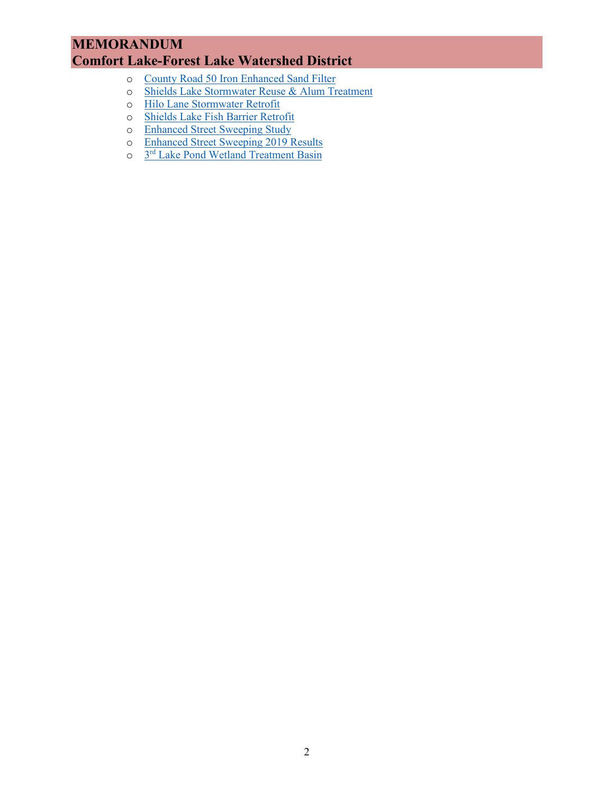# **MEMORANDUM Comfort Lake-Forest Lake Watershed District**

- o [County Road 50 Iron Enhanced Sand Filter](https://www.clflwd.org/CR50_Iron_Sand_Filter.php)
- o [Shields Lake Stormwater Reuse & Alum Treatment](https://www.clflwd.org/Shields_Lake_Stormwater_Harvest_Project.php)
- o [Hilo Lane Stormwater Retrofit](https://www.clflwd.org/Hilo_Lane_Stormwater_Retrofit_Project.php)
- o [Shields Lake Fish Barrier Retrofit](https://www.clflwd.org/Shields_Lake_Fish_Barrier_Retrofit.php)<br>
o Enhanced Street Sweeping Study
- o [Enhanced Street Sweeping Study](https://www.clflwd.org/Forest_Lake_Street_Sweeping_Plan.php)<br>
o Enhanced Street Sweeping 2019 F
- [Enhanced Street Sweeping 2019 Results](https://www.clflwd.org/documents/FLEnhancedStreetSweepingResults_2019.pdf)
- o 3rd [Lake Pond Wetland Treatment Basin](https://www.clflwd.org/Forest_Lake_Wetland_Treatment_Basin_Project.php)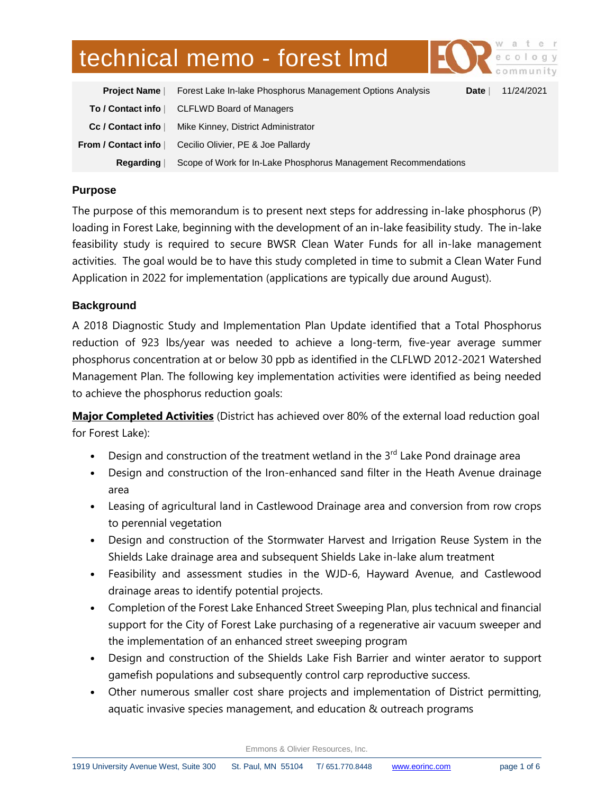# technical memo - forest lmd

| <b>Project Name</b> | Forest Lake In-lake Phosphorus Management Options Analysis      | Date $ $ | 11/24/2021 |
|---------------------|-----------------------------------------------------------------|----------|------------|
| To / Contact info   | <b>CLFLWD Board of Managers</b>                                 |          |            |
| Cc / Contact info   | Mike Kinney, District Administrator                             |          |            |
| From / Contact info | Cecilio Olivier, PE & Joe Pallardy                              |          |            |
| <b>Regarding</b>    | Scope of Work for In-Lake Phosphorus Management Recommendations |          |            |

## **Purpose**

The purpose of this memorandum is to present next steps for addressing in-lake phosphorus (P) loading in Forest Lake, beginning with the development of an in-lake feasibility study. The in-lake feasibility study is required to secure BWSR Clean Water Funds for all in-lake management activities. The goal would be to have this study completed in time to submit a Clean Water Fund Application in 2022 for implementation (applications are typically due around August).

#### **Background**

A 2018 Diagnostic Study and Implementation Plan Update identified that a Total Phosphorus reduction of 923 lbs/year was needed to achieve a long-term, five-year average summer phosphorus concentration at or below 30 ppb as identified in the CLFLWD 2012-2021 Watershed Management Plan. The following key implementation activities were identified as being needed to achieve the phosphorus reduction goals:

**Major Completed Activities** (District has achieved over 80% of the external load reduction goal for Forest Lake):

- Design and construction of the treatment wetland in the  $3<sup>rd</sup>$  Lake Pond drainage area
- Design and construction of the Iron-enhanced sand filter in the Heath Avenue drainage area
- Leasing of agricultural land in Castlewood Drainage area and conversion from row crops to perennial vegetation
- Design and construction of the Stormwater Harvest and Irrigation Reuse System in the Shields Lake drainage area and subsequent Shields Lake in-lake alum treatment
- Feasibility and assessment studies in the WJD-6, Hayward Avenue, and Castlewood drainage areas to identify potential projects.
- Completion of the Forest Lake Enhanced Street Sweeping Plan, plus technical and financial support for the City of Forest Lake purchasing of a regenerative air vacuum sweeper and the implementation of an enhanced street sweeping program
- Design and construction of the Shields Lake Fish Barrier and winter aerator to support gamefish populations and subsequently control carp reproductive success.
- Other numerous smaller cost share projects and implementation of District permitting, aquatic invasive species management, and education & outreach programs

Emmons & Olivier Resources, Inc.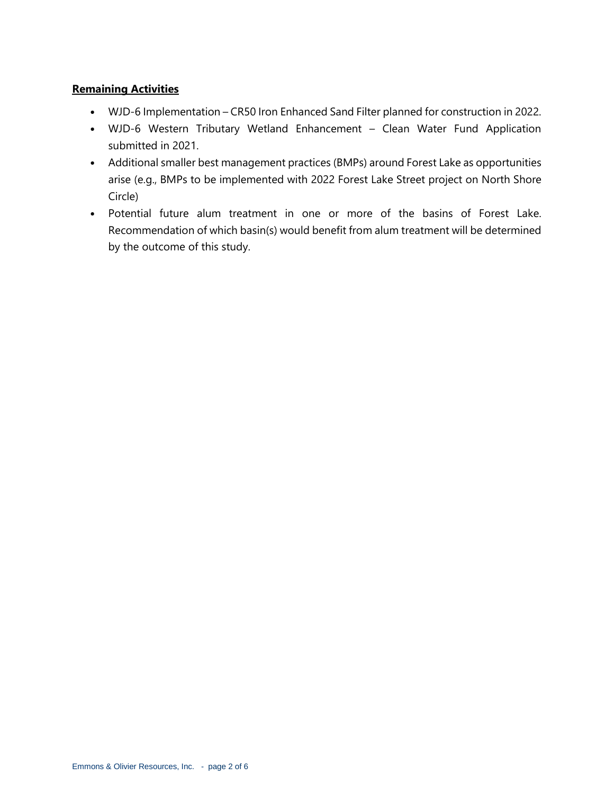## **Remaining Activities**

- WJD-6 Implementation CR50 Iron Enhanced Sand Filter planned for construction in 2022.
- WJD-6 Western Tributary Wetland Enhancement Clean Water Fund Application submitted in 2021.
- Additional smaller best management practices (BMPs) around Forest Lake as opportunities arise (e.g., BMPs to be implemented with 2022 Forest Lake Street project on North Shore Circle)
- Potential future alum treatment in one or more of the basins of Forest Lake. Recommendation of which basin(s) would benefit from alum treatment will be determined by the outcome of this study.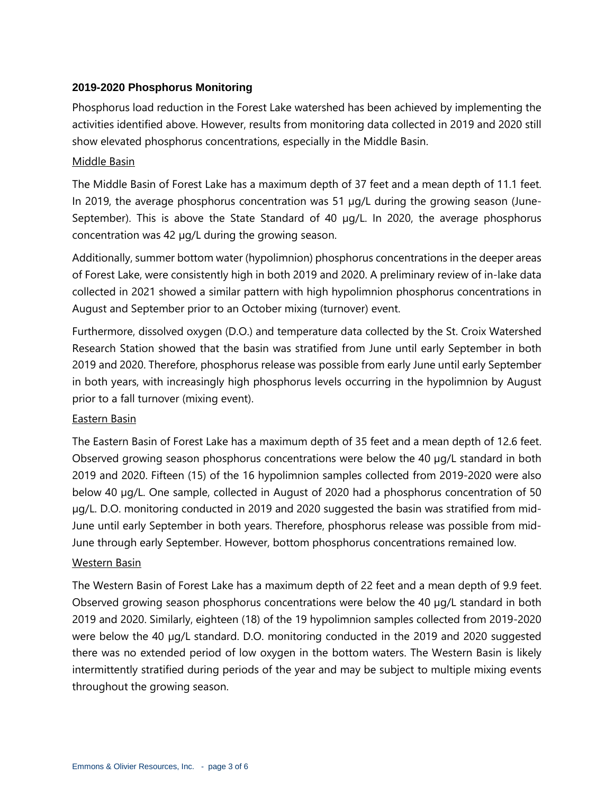#### **2019-2020 Phosphorus Monitoring**

Phosphorus load reduction in the Forest Lake watershed has been achieved by implementing the activities identified above. However, results from monitoring data collected in 2019 and 2020 still show elevated phosphorus concentrations, especially in the Middle Basin.

#### Middle Basin

The Middle Basin of Forest Lake has a maximum depth of 37 feet and a mean depth of 11.1 feet. In 2019, the average phosphorus concentration was 51 µg/L during the growing season (June-September). This is above the State Standard of 40 µg/L. In 2020, the average phosphorus concentration was 42 µg/L during the growing season.

Additionally, summer bottom water (hypolimnion) phosphorus concentrations in the deeper areas of Forest Lake, were consistently high in both 2019 and 2020. A preliminary review of in-lake data collected in 2021 showed a similar pattern with high hypolimnion phosphorus concentrations in August and September prior to an October mixing (turnover) event.

Furthermore, dissolved oxygen (D.O.) and temperature data collected by the St. Croix Watershed Research Station showed that the basin was stratified from June until early September in both 2019 and 2020. Therefore, phosphorus release was possible from early June until early September in both years, with increasingly high phosphorus levels occurring in the hypolimnion by August prior to a fall turnover (mixing event).

#### Eastern Basin

The Eastern Basin of Forest Lake has a maximum depth of 35 feet and a mean depth of 12.6 feet. Observed growing season phosphorus concentrations were below the 40 µg/L standard in both 2019 and 2020. Fifteen (15) of the 16 hypolimnion samples collected from 2019-2020 were also below 40 µg/L. One sample, collected in August of 2020 had a phosphorus concentration of 50 µg/L. D.O. monitoring conducted in 2019 and 2020 suggested the basin was stratified from mid-June until early September in both years. Therefore, phosphorus release was possible from mid-June through early September. However, bottom phosphorus concentrations remained low.

#### Western Basin

The Western Basin of Forest Lake has a maximum depth of 22 feet and a mean depth of 9.9 feet. Observed growing season phosphorus concentrations were below the 40 µg/L standard in both 2019 and 2020. Similarly, eighteen (18) of the 19 hypolimnion samples collected from 2019-2020 were below the 40 µg/L standard. D.O. monitoring conducted in the 2019 and 2020 suggested there was no extended period of low oxygen in the bottom waters. The Western Basin is likely intermittently stratified during periods of the year and may be subject to multiple mixing events throughout the growing season.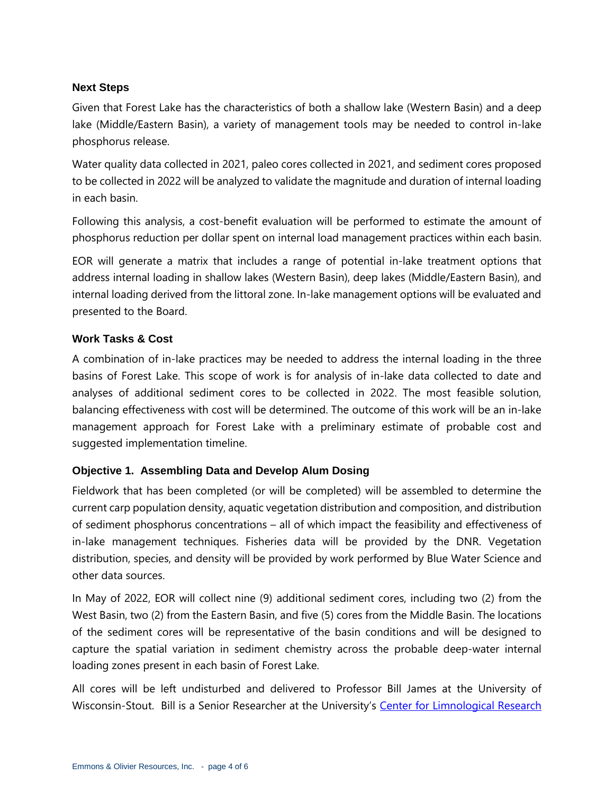#### **Next Steps**

Given that Forest Lake has the characteristics of both a shallow lake (Western Basin) and a deep lake (Middle/Eastern Basin), a variety of management tools may be needed to control in-lake phosphorus release.

Water quality data collected in 2021, paleo cores collected in 2021, and sediment cores proposed to be collected in 2022 will be analyzed to validate the magnitude and duration of internal loading in each basin.

Following this analysis, a cost-benefit evaluation will be performed to estimate the amount of phosphorus reduction per dollar spent on internal load management practices within each basin.

EOR will generate a matrix that includes a range of potential in-lake treatment options that address internal loading in shallow lakes (Western Basin), deep lakes (Middle/Eastern Basin), and internal loading derived from the littoral zone. In-lake management options will be evaluated and presented to the Board.

#### **Work Tasks & Cost**

A combination of in-lake practices may be needed to address the internal loading in the three basins of Forest Lake. This scope of work is for analysis of in-lake data collected to date and analyses of additional sediment cores to be collected in 2022. The most feasible solution, balancing effectiveness with cost will be determined. The outcome of this work will be an in-lake management approach for Forest Lake with a preliminary estimate of probable cost and suggested implementation timeline.

## **Objective 1. Assembling Data and Develop Alum Dosing**

Fieldwork that has been completed (or will be completed) will be assembled to determine the current carp population density, aquatic vegetation distribution and composition, and distribution of sediment phosphorus concentrations – all of which impact the feasibility and effectiveness of in-lake management techniques. Fisheries data will be provided by the DNR. Vegetation distribution, species, and density will be provided by work performed by Blue Water Science and other data sources.

In May of 2022, EOR will collect nine (9) additional sediment cores, including two (2) from the West Basin, two (2) from the Eastern Basin, and five (5) cores from the Middle Basin. The locations of the sediment cores will be representative of the basin conditions and will be designed to capture the spatial variation in sediment chemistry across the probable deep-water internal loading zones present in each basin of Forest Lake.

All cores will be left undisturbed and delivered to Professor Bill James at the University of Wisconsin-Stout. Bill is a Senior Researcher at the University's Center for Limnological Research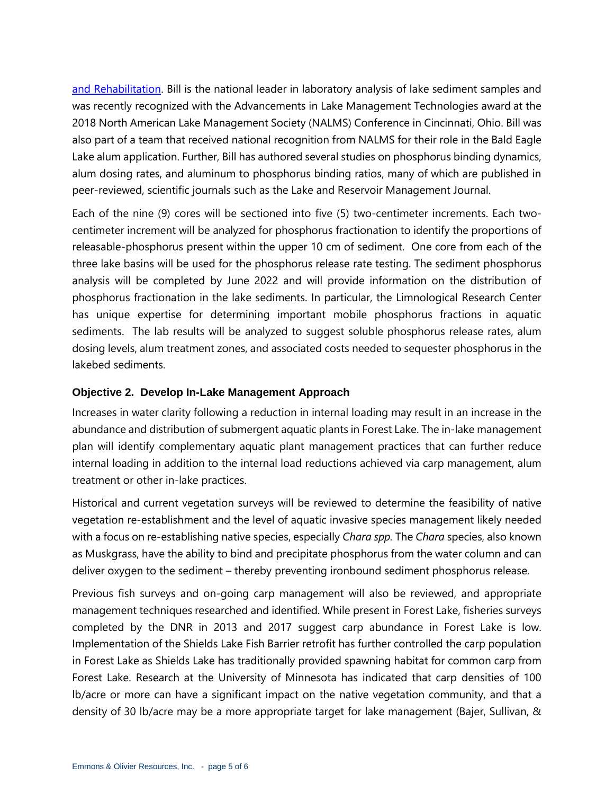[and Rehabilitation.](https://www.uwstout.edu/directory/center-limnological-research-and-rehabilitation) Bill is the national leader in laboratory analysis of lake sediment samples and was recently recognized with the Advancements in Lake Management Technologies award at the 2018 North American Lake Management Society (NALMS) Conference in Cincinnati, Ohio. Bill was also part of a team that received national recognition from NALMS for their role in the Bald Eagle Lake alum application. Further, Bill has authored several studies on phosphorus binding dynamics, alum dosing rates, and aluminum to phosphorus binding ratios, many of which are published in peer-reviewed, scientific journals such as the Lake and Reservoir Management Journal.

Each of the nine (9) cores will be sectioned into five (5) two-centimeter increments. Each twocentimeter increment will be analyzed for phosphorus fractionation to identify the proportions of releasable-phosphorus present within the upper 10 cm of sediment. One core from each of the three lake basins will be used for the phosphorus release rate testing. The sediment phosphorus analysis will be completed by June 2022 and will provide information on the distribution of phosphorus fractionation in the lake sediments. In particular, the Limnological Research Center has unique expertise for determining important mobile phosphorus fractions in aquatic sediments. The lab results will be analyzed to suggest soluble phosphorus release rates, alum dosing levels, alum treatment zones, and associated costs needed to sequester phosphorus in the lakebed sediments.

#### **Objective 2. Develop In-Lake Management Approach**

Increases in water clarity following a reduction in internal loading may result in an increase in the abundance and distribution of submergent aquatic plants in Forest Lake. The in-lake management plan will identify complementary aquatic plant management practices that can further reduce internal loading in addition to the internal load reductions achieved via carp management, alum treatment or other in-lake practices.

Historical and current vegetation surveys will be reviewed to determine the feasibility of native vegetation re-establishment and the level of aquatic invasive species management likely needed with a focus on re-establishing native species, especially *Chara spp.* The *Chara* species, also known as Muskgrass, have the ability to bind and precipitate phosphorus from the water column and can deliver oxygen to the sediment – thereby preventing ironbound sediment phosphorus release.

Previous fish surveys and on-going carp management will also be reviewed, and appropriate management techniques researched and identified. While present in Forest Lake, fisheries surveys completed by the DNR in 2013 and 2017 suggest carp abundance in Forest Lake is low. Implementation of the Shields Lake Fish Barrier retrofit has further controlled the carp population in Forest Lake as Shields Lake has traditionally provided spawning habitat for common carp from Forest Lake. Research at the University of Minnesota has indicated that carp densities of 100 lb/acre or more can have a significant impact on the native vegetation community, and that a density of 30 lb/acre may be a more appropriate target for lake management (Bajer, Sullivan, &